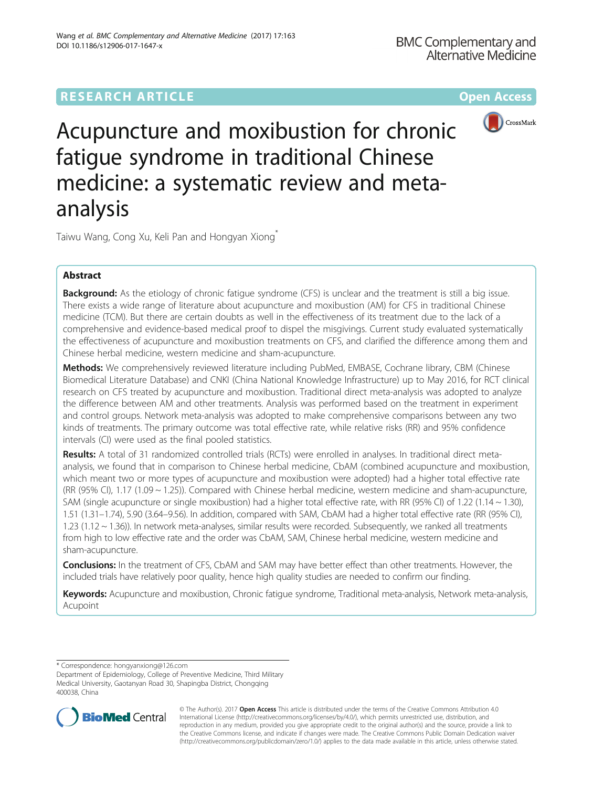# **RESEARCH ARTICLE Example 2014 12:30 The Company Access** (RESEARCH ARTICLE



Acupuncture and moxibustion for chronic fatigue syndrome in traditional Chinese medicine: a systematic review and metaanalysis

Taiwu Wang, Cong Xu, Keli Pan and Hongyan Xiong<sup>\*</sup>

# Abstract

**Background:** As the etiology of chronic fatigue syndrome (CFS) is unclear and the treatment is still a big issue. There exists a wide range of literature about acupuncture and moxibustion (AM) for CFS in traditional Chinese medicine (TCM). But there are certain doubts as well in the effectiveness of its treatment due to the lack of a comprehensive and evidence-based medical proof to dispel the misgivings. Current study evaluated systematically the effectiveness of acupuncture and moxibustion treatments on CFS, and clarified the difference among them and Chinese herbal medicine, western medicine and sham-acupuncture.

Methods: We comprehensively reviewed literature including PubMed, EMBASE, Cochrane library, CBM (Chinese Biomedical Literature Database) and CNKI (China National Knowledge Infrastructure) up to May 2016, for RCT clinical research on CFS treated by acupuncture and moxibustion. Traditional direct meta-analysis was adopted to analyze the difference between AM and other treatments. Analysis was performed based on the treatment in experiment and control groups. Network meta-analysis was adopted to make comprehensive comparisons between any two kinds of treatments. The primary outcome was total effective rate, while relative risks (RR) and 95% confidence intervals (CI) were used as the final pooled statistics.

Results: A total of 31 randomized controlled trials (RCTs) were enrolled in analyses. In traditional direct metaanalysis, we found that in comparison to Chinese herbal medicine, CbAM (combined acupuncture and moxibustion, which meant two or more types of acupuncture and moxibustion were adopted) had a higher total effective rate (RR (95% CI), 1.17 (1.09 ~ 1.25)). Compared with Chinese herbal medicine, western medicine and sham-acupuncture, SAM (single acupuncture or single moxibustion) had a higher total effective rate, with RR (95% CI) of 1.22 (1.14  $\sim$  1.30), 1.51 (1.31–1.74), 5.90 (3.64–9.56). In addition, compared with SAM, CbAM had a higher total effective rate (RR (95% CI), 1.23 (1.12 ~ 1.36)). In network meta-analyses, similar results were recorded. Subsequently, we ranked all treatments from high to low effective rate and the order was CbAM, SAM, Chinese herbal medicine, western medicine and sham-acupuncture.

Conclusions: In the treatment of CFS, CbAM and SAM may have better effect than other treatments. However, the included trials have relatively poor quality, hence high quality studies are needed to confirm our finding.

Keywords: Acupuncture and moxibustion, Chronic fatigue syndrome, Traditional meta-analysis, Network meta-analysis, Acupoint

\* Correspondence: [hongyanxiong@126.com](mailto:hongyanxiong@126.com)

Department of Epidemiology, College of Preventive Medicine, Third Military Medical University, Gaotanyan Road 30, Shapingba District, Chongqing 400038, China



© The Author(s). 2017 **Open Access** This article is distributed under the terms of the Creative Commons Attribution 4.0 International License [\(http://creativecommons.org/licenses/by/4.0/](http://creativecommons.org/licenses/by/4.0/)), which permits unrestricted use, distribution, and reproduction in any medium, provided you give appropriate credit to the original author(s) and the source, provide a link to the Creative Commons license, and indicate if changes were made. The Creative Commons Public Domain Dedication waiver [\(http://creativecommons.org/publicdomain/zero/1.0/](http://creativecommons.org/publicdomain/zero/1.0/)) applies to the data made available in this article, unless otherwise stated.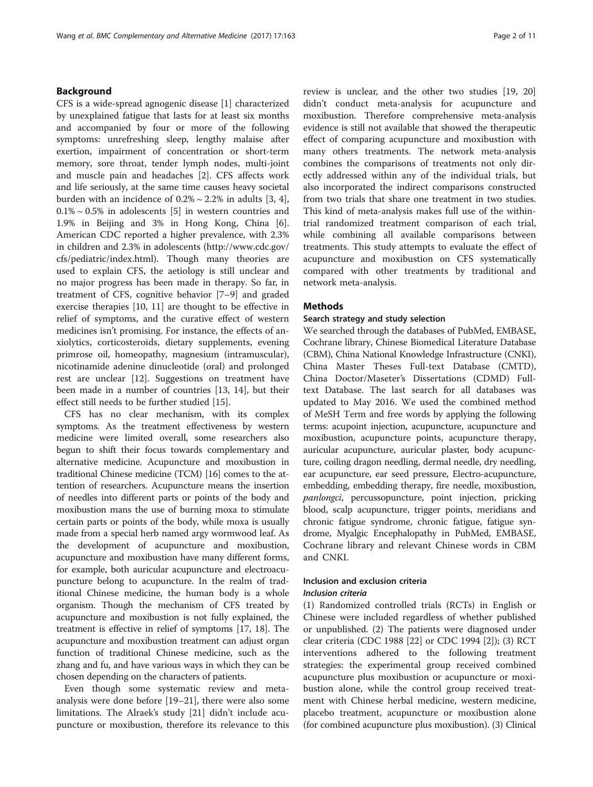## Background

CFS is a wide-spread agnogenic disease [\[1\]](#page-8-0) characterized by unexplained fatigue that lasts for at least six months and accompanied by four or more of the following symptoms: unrefreshing sleep, lengthy malaise after exertion, impairment of concentration or short-term memory, sore throat, tender lymph nodes, multi-joint and muscle pain and headaches [\[2](#page-8-0)]. CFS affects work and life seriously, at the same time causes heavy societal burden with an incidence of  $0.2\% \sim 2.2\%$  in adults [[3, 4](#page-8-0)],  $0.1\% \sim 0.5\%$  in adolescents [\[5](#page-8-0)] in western countries and 1.9% in Beijing and 3% in Hong Kong, China [\[6](#page-8-0)]. American CDC reported a higher prevalence, with 2.3% in children and 2.3% in adolescents ([http://www.cdc.gov/](http://www.cdc.gov/cfs/pediatric/index.html) [cfs/pediatric/index.html](http://www.cdc.gov/cfs/pediatric/index.html)). Though many theories are used to explain CFS, the aetiology is still unclear and no major progress has been made in therapy. So far, in treatment of CFS, cognitive behavior [\[7](#page-8-0)–[9](#page-9-0)] and graded exercise therapies [\[10](#page-9-0), [11\]](#page-9-0) are thought to be effective in relief of symptoms, and the curative effect of western medicines isn't promising. For instance, the effects of anxiolytics, corticosteroids, dietary supplements, evening primrose oil, homeopathy, magnesium (intramuscular), nicotinamide adenine dinucleotide (oral) and prolonged rest are unclear [\[12\]](#page-9-0). Suggestions on treatment have been made in a number of countries [[13, 14\]](#page-9-0), but their effect still needs to be further studied [\[15](#page-9-0)].

CFS has no clear mechanism, with its complex symptoms. As the treatment effectiveness by western medicine were limited overall, some researchers also begun to shift their focus towards complementary and alternative medicine. Acupuncture and moxibustion in traditional Chinese medicine (TCM) [\[16\]](#page-9-0) comes to the attention of researchers. Acupuncture means the insertion of needles into different parts or points of the body and moxibustion mans the use of burning moxa to stimulate certain parts or points of the body, while moxa is usually made from a special herb named argy wormwood leaf. As the development of acupuncture and moxibustion, acupuncture and moxibustion have many different forms, for example, both auricular acupuncture and electroacupuncture belong to acupuncture. In the realm of traditional Chinese medicine, the human body is a whole organism. Though the mechanism of CFS treated by acupuncture and moxibustion is not fully explained, the treatment is effective in relief of symptoms [[17](#page-9-0), [18\]](#page-9-0). The acupuncture and moxibustion treatment can adjust organ function of traditional Chinese medicine, such as the zhang and fu, and have various ways in which they can be chosen depending on the characters of patients.

Even though some systematic review and metaanalysis were done before [\[19](#page-9-0)–[21\]](#page-9-0), there were also some limitations. The Alraek's study [\[21](#page-9-0)] didn't include acupuncture or moxibustion, therefore its relevance to this review is unclear, and the other two studies [\[19](#page-9-0), [20](#page-9-0)] didn't conduct meta-analysis for acupuncture and moxibustion. Therefore comprehensive meta-analysis evidence is still not available that showed the therapeutic effect of comparing acupuncture and moxibustion with many others treatments. The network meta-analysis combines the comparisons of treatments not only directly addressed within any of the individual trials, but also incorporated the indirect comparisons constructed from two trials that share one treatment in two studies. This kind of meta-analysis makes full use of the withintrial randomized treatment comparison of each trial, while combining all available comparisons between treatments. This study attempts to evaluate the effect of acupuncture and moxibustion on CFS systematically compared with other treatments by traditional and network meta-analysis.

#### Methods

### Search strategy and study selection

We searched through the databases of PubMed, EMBASE, Cochrane library, Chinese Biomedical Literature Database (CBM), China National Knowledge Infrastructure (CNKI), China Master Theses Full-text Database (CMTD), China Doctor/Maseter's Dissertations (CDMD) Fulltext Database. The last search for all databases was updated to May 2016. We used the combined method of MeSH Term and free words by applying the following terms: acupoint injection, acupuncture, acupuncture and moxibustion, acupuncture points, acupuncture therapy, auricular acupuncture, auricular plaster, body acupuncture, coiling dragon needling, dermal needle, dry needling, ear acupuncture, ear seed pressure, Electro-acupuncture, embedding, embedding therapy, fire needle, moxibustion, panlongci, percussopuncture, point injection, pricking blood, scalp acupuncture, trigger points, meridians and chronic fatigue syndrome, chronic fatigue, fatigue syndrome, Myalgic Encephalopathy in PubMed, EMBASE, Cochrane library and relevant Chinese words in CBM and CNKI.

## Inclusion and exclusion criteria

## Inclusion criteria

(1) Randomized controlled trials (RCTs) in English or Chinese were included regardless of whether published or unpublished. (2) The patients were diagnosed under clear criteria (CDC 1988 [\[22](#page-9-0)] or CDC 1994 [[2\]](#page-8-0)); (3) RCT interventions adhered to the following treatment strategies: the experimental group received combined acupuncture plus moxibustion or acupuncture or moxibustion alone, while the control group received treatment with Chinese herbal medicine, western medicine, placebo treatment, acupuncture or moxibustion alone (for combined acupuncture plus moxibustion). (3) Clinical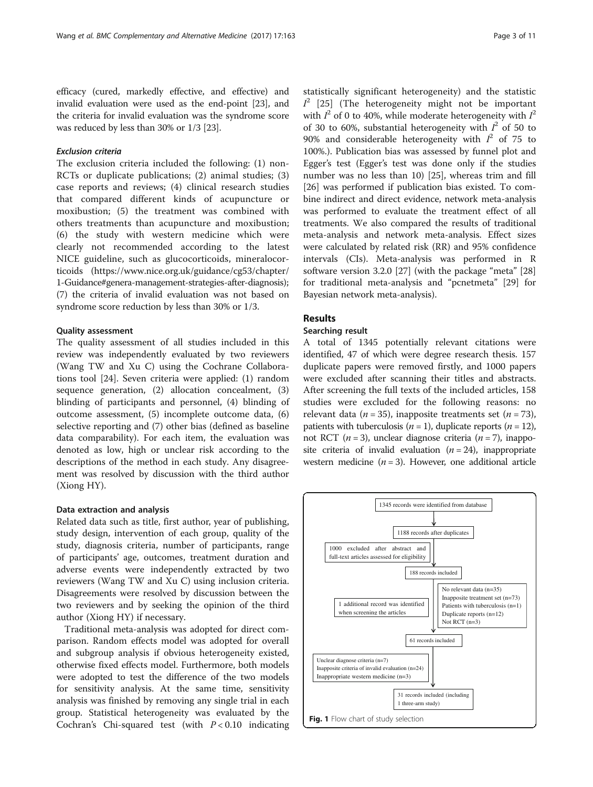<span id="page-2-0"></span>efficacy (cured, markedly effective, and effective) and invalid evaluation were used as the end-point [\[23](#page-9-0)], and the criteria for invalid evaluation was the syndrome score was reduced by less than 30% or 1/3 [\[23](#page-9-0)].

#### Exclusion criteria

The exclusion criteria included the following: (1) non-RCTs or duplicate publications; (2) animal studies; (3) case reports and reviews; (4) clinical research studies that compared different kinds of acupuncture or moxibustion; (5) the treatment was combined with others treatments than acupuncture and moxibustion; (6) the study with western medicine which were clearly not recommended according to the latest NICE guideline, such as glucocorticoids, mineralocorticoids ([https://www.nice.org.uk/guidance/cg53/chapter/](https://www.nice.org.uk/guidance/cg53/chapter/1-Guidance#genera-management-strategies-after-diagnosis) [1-Guidance#genera-management-strategies-after-diagnosis\)](https://www.nice.org.uk/guidance/cg53/chapter/1-Guidance#genera-management-strategies-after-diagnosis); (7) the criteria of invalid evaluation was not based on syndrome score reduction by less than 30% or 1/3.

#### Quality assessment

The quality assessment of all studies included in this review was independently evaluated by two reviewers (Wang TW and Xu C) using the Cochrane Collaborations tool [\[24\]](#page-9-0). Seven criteria were applied: (1) random sequence generation, (2) allocation concealment, (3) blinding of participants and personnel, (4) blinding of outcome assessment, (5) incomplete outcome data, (6) selective reporting and (7) other bias (defined as baseline data comparability). For each item, the evaluation was denoted as low, high or unclear risk according to the descriptions of the method in each study. Any disagreement was resolved by discussion with the third author (Xiong HY).

## Data extraction and analysis

Related data such as title, first author, year of publishing, study design, intervention of each group, quality of the study, diagnosis criteria, number of participants, range of participants' age, outcomes, treatment duration and adverse events were independently extracted by two reviewers (Wang TW and Xu C) using inclusion criteria. Disagreements were resolved by discussion between the two reviewers and by seeking the opinion of the third author (Xiong HY) if necessary.

Traditional meta-analysis was adopted for direct comparison. Random effects model was adopted for overall and subgroup analysis if obvious heterogeneity existed, otherwise fixed effects model. Furthermore, both models were adopted to test the difference of the two models for sensitivity analysis. At the same time, sensitivity analysis was finished by removing any single trial in each group. Statistical heterogeneity was evaluated by the Cochran's Chi-squared test (with  $P < 0.10$  indicating statistically significant heterogeneity) and the statistic  $I^2$  [\[25](#page-9-0)] (The heterogeneity might not be important with  $I^2$  of 0 to 40%, while moderate heterogeneity with  $I^2$ of 30 to 60%, substantial heterogeneity with  $I^2$  of 50 to 90% and considerable heterogeneity with  $I^2$  of 75 to 100%.). Publication bias was assessed by funnel plot and Egger's test (Egger's test was done only if the studies number was no less than 10) [\[25\]](#page-9-0), whereas trim and fill [[26\]](#page-9-0) was performed if publication bias existed. To combine indirect and direct evidence, network meta-analysis was performed to evaluate the treatment effect of all treatments. We also compared the results of traditional meta-analysis and network meta-analysis. Effect sizes were calculated by related risk (RR) and 95% confidence intervals (CIs). Meta-analysis was performed in R software version 3.2.0 [\[27\]](#page-9-0) (with the package "meta" [[28](#page-9-0)] for traditional meta-analysis and "pcnetmeta" [[29](#page-9-0)] for Bayesian network meta-analysis).

## Results

## Searching result

A total of 1345 potentially relevant citations were identified, 47 of which were degree research thesis. 157 duplicate papers were removed firstly, and 1000 papers were excluded after scanning their titles and abstracts. After screening the full texts of the included articles, 158 studies were excluded for the following reasons: no relevant data (*n* = 35), inapposite treatments set (*n* = 73), patients with tuberculosis ( $n = 1$ ), duplicate reports ( $n = 12$ ), not RCT ( $n = 3$ ), unclear diagnose criteria ( $n = 7$ ), inapposite criteria of invalid evaluation  $(n = 24)$ , inappropriate western medicine  $(n = 3)$ . However, one additional article

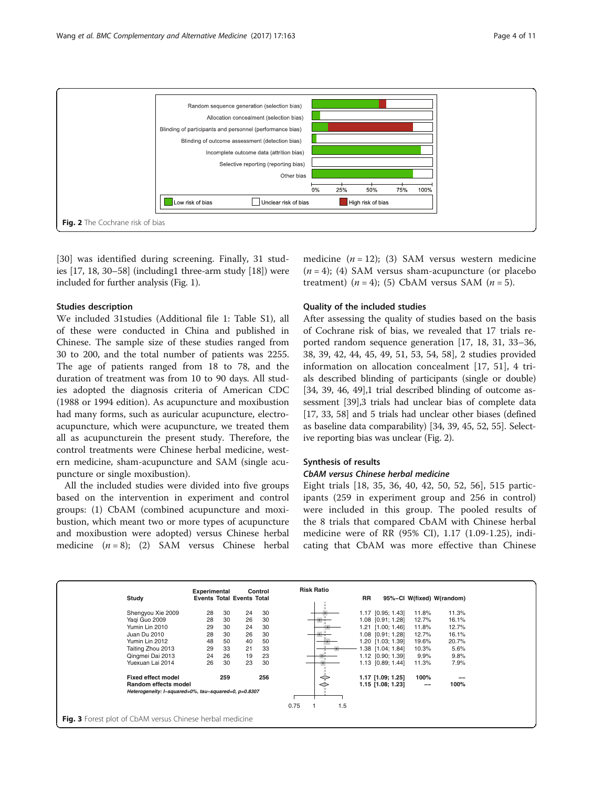<span id="page-3-0"></span>

[[30\]](#page-9-0) was identified during screening. Finally, 31 studies [\[17, 18, 30](#page-9-0)–[58\]](#page-9-0) (including1 three-arm study [[18](#page-9-0)]) were included for further analysis (Fig. [1](#page-2-0)).

#### Studies description

We included 31studies (Additional file [1:](#page-8-0) Table S1), all of these were conducted in China and published in Chinese. The sample size of these studies ranged from 30 to 200, and the total number of patients was 2255. The age of patients ranged from 18 to 78, and the duration of treatment was from 10 to 90 days. All studies adopted the diagnosis criteria of American CDC (1988 or 1994 edition). As acupuncture and moxibustion had many forms, such as auricular acupuncture, electroacupuncture, which were acupuncture, we treated them all as acupuncturein the present study. Therefore, the control treatments were Chinese herbal medicine, western medicine, sham-acupuncture and SAM (single acupuncture or single moxibustion).

All the included studies were divided into five groups based on the intervention in experiment and control groups: (1) CbAM (combined acupuncture and moxibustion, which meant two or more types of acupuncture and moxibustion were adopted) versus Chinese herbal medicine  $(n = 8)$ ; (2) SAM versus Chinese herbal medicine  $(n = 12)$ ; (3) SAM versus western medicine  $(n = 4)$ ; (4) SAM versus sham-acupuncture (or placebo treatment)  $(n = 4)$ ; (5) CbAM versus SAM  $(n = 5)$ .

#### Quality of the included studies

After assessing the quality of studies based on the basis of Cochrane risk of bias, we revealed that 17 trials reported random sequence generation [\[17, 18, 31, 33](#page-9-0)–[36](#page-9-0), [38, 39](#page-9-0), [42](#page-9-0), [44, 45](#page-9-0), [49, 51](#page-9-0), [53, 54](#page-9-0), [58\]](#page-9-0), 2 studies provided information on allocation concealment [\[17](#page-9-0), [51\]](#page-9-0), 4 trials described blinding of participants (single or double) [[34](#page-9-0), [39](#page-9-0), [46, 49](#page-9-0)],1 trial described blinding of outcome assessment [\[39\]](#page-9-0),3 trials had unclear bias of complete data [[17](#page-9-0), [33, 58\]](#page-9-0) and 5 trials had unclear other biases (defined as baseline data comparability) [[34](#page-9-0), [39](#page-9-0), [45, 52, 55](#page-9-0)]. Selective reporting bias was unclear (Fig. 2).

## Synthesis of results

#### CbAM versus Chinese herbal medicine

Eight trials [[18, 35, 36](#page-9-0), [40](#page-9-0), [42, 50, 52](#page-9-0), [56\]](#page-9-0), 515 participants (259 in experiment group and 256 in control) were included in this group. The pooled results of the 8 trials that compared CbAM with Chinese herbal medicine were of RR (95% CI), 1.17 (1.09-1.25), indicating that CbAM was more effective than Chinese

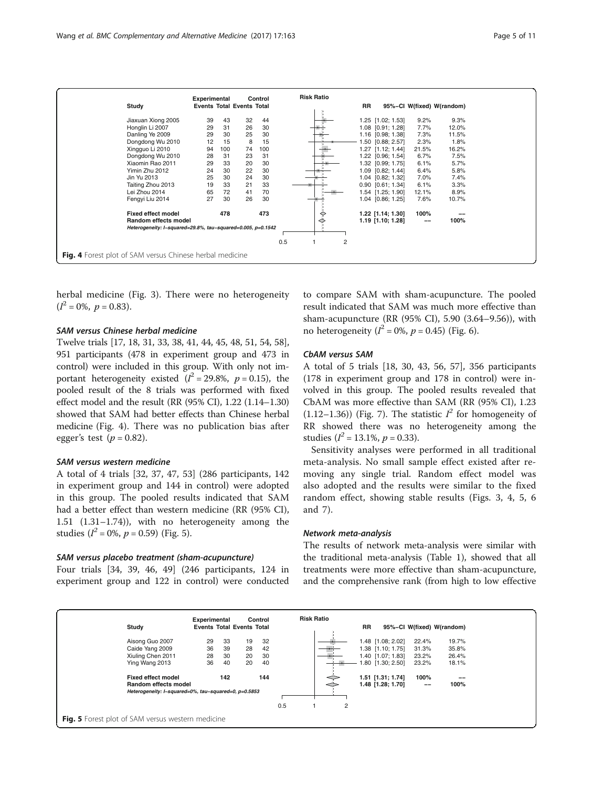|                                                             | Experimental                     |     |    | Control | <b>Risk Ratio</b>                |                       |       |                           |  |
|-------------------------------------------------------------|----------------------------------|-----|----|---------|----------------------------------|-----------------------|-------|---------------------------|--|
| Study                                                       | <b>Events Total Events Total</b> |     |    |         |                                  | <b>RR</b>             |       | 95%-Cl W(fixed) W(random) |  |
|                                                             |                                  |     |    |         |                                  |                       |       |                           |  |
| Jiaxuan Xiong 2005                                          | 39                               | 43  | 32 | 44      |                                  | 1.25 [1.02; 1.53]     | 9.2%  | 9.3%                      |  |
| Honglin Li 2007                                             | 29                               | 31  | 26 | 30      |                                  | 1.08 [0.91; 1.28]     | 7.7%  | 12.0%                     |  |
| Danling Ye 2009                                             | 29                               | 30  | 25 | 30      |                                  | 1.16 [0.98; 1.38]     | 7.3%  | 11.5%                     |  |
| Dongdong Wu 2010                                            | 12                               | 15  | 8  | 15      |                                  | .50 [0.88; 2.57]      | 2.3%  | 1.8%                      |  |
| Xingquo Li 2010                                             | 94                               | 100 | 74 | 100     |                                  | 1.27 [1.12; 1.44]     | 21.5% | 16.2%                     |  |
| Dongdong Wu 2010                                            | 28                               | 31  | 23 | 31      |                                  | 1.22 [0.96; 1.54]     | 6.7%  | 7.5%                      |  |
| Xiaomin Rao 2011                                            | 29                               | 33  | 20 | 30      |                                  | 1.32 [0.99; 1.75]     | 6.1%  | 5.7%                      |  |
| Yimin Zhu 2012                                              | 24                               | 30  | 22 | 30      |                                  | 1.09 [0.82; 1.44]     | 6.4%  | 5.8%                      |  |
| Jin Yu 2013                                                 | 25                               | 30  | 24 | 30      |                                  | 1.04 [0.82; 1.32]     | 7.0%  | 7.4%                      |  |
| Taiting Zhou 2013                                           | 19                               | 33  | 21 | 33      |                                  | $0.90$ $[0.61; 1.34]$ | 6.1%  | 3.3%                      |  |
| Lei Zhou 2014                                               | 65                               | 72  | 41 | 70      |                                  | 1.54 [1.25; 1.90]     | 12.1% | 8.9%                      |  |
| Fengyi Liu 2014                                             | 27                               | 30  | 26 | 30      |                                  | 1.04 [0.86; 1.25]     | 7.6%  | 10.7%                     |  |
| <b>Fixed effect model</b>                                   |                                  | 478 |    | 473     |                                  | 1.22 [1.14; 1.30]     | 100%  |                           |  |
| Random effects model                                        |                                  |     |    |         | $\Leftrightarrow$<br>$\triangle$ | 1.19 [1.10; 1.28]     | $- -$ | 100%                      |  |
| Heterogeneity: I-squared=29.8%, tau-squared=0.005, p=0.1542 |                                  |     |    |         |                                  |                       |       |                           |  |
|                                                             |                                  |     |    |         |                                  |                       |       |                           |  |
|                                                             |                                  |     |    |         | 0.5<br>2                         |                       |       |                           |  |
|                                                             |                                  |     |    |         |                                  |                       |       |                           |  |
| Fig. 4 Forest plot of SAM versus Chinese herbal medicine    |                                  |     |    |         |                                  |                       |       |                           |  |

herbal medicine (Fig. [3\)](#page-3-0). There were no heterogeneity  $(I^2 = 0\%, p = 0.83).$ 

## SAM versus Chinese herbal medicine

Twelve trials [\[17, 18](#page-9-0), [31](#page-9-0), [33, 38](#page-9-0), [41](#page-9-0), [44, 45, 48](#page-9-0), [51, 54, 58](#page-9-0)], 951 participants (478 in experiment group and 473 in control) were included in this group. With only not important heterogeneity existed  $(I^2 = 29.8\%, p = 0.15)$ , the pooled result of the 8 trials was performed with fixed effect model and the result (RR (95% CI), 1.22 (1.14–1.30) showed that SAM had better effects than Chinese herbal medicine (Fig. 4). There was no publication bias after egger's test  $(p = 0.82)$ .

## SAM versus western medicine

A total of 4 trials [[32](#page-9-0), [37](#page-9-0), [47, 53](#page-9-0)] (286 participants, 142 in experiment group and 144 in control) were adopted in this group. The pooled results indicated that SAM had a better effect than western medicine (RR (95% CI), 1.51 (1.31–1.74)), with no heterogeneity among the studies ( $I^2 = 0\%$ ,  $p = 0.59$ ) (Fig. 5).

## SAM versus placebo treatment (sham-acupuncture)

Four trials [[34](#page-9-0), [39](#page-9-0), [46, 49](#page-9-0)] (246 participants, 124 in experiment group and 122 in control) were conducted

to compare SAM with sham-acupuncture. The pooled result indicated that SAM was much more effective than sham-acupuncture (RR (95% CI), 5.90 (3.64–9.56)), with no heterogeneity ( $I^2 = 0$ %,  $p = 0.45$ ) (Fig. [6\)](#page-5-0).

## CbAM versus SAM

A total of 5 trials [\[18](#page-9-0), [30](#page-9-0), [43, 56, 57\]](#page-9-0), 356 participants (178 in experiment group and 178 in control) were involved in this group. The pooled results revealed that CbAM was more effective than SAM (RR (95% CI), 1.23 (1.12–1.36)) (Fig. [7](#page-5-0)). The statistic  $I^2$  for homogeneity of RR showed there was no heterogeneity among the studies ( $I^2 = 13.1\%$ ,  $p = 0.33$ ).

Sensitivity analyses were performed in all traditional meta-analysis. No small sample effect existed after removing any single trial. Random effect model was also adopted and the results were similar to the fixed random effect, showing stable results (Figs. [3](#page-3-0), 4, 5, [6](#page-5-0) and [7\)](#page-5-0).

#### Network meta-analysis

The results of network meta-analysis were similar with the traditional meta-analysis (Table [1](#page-6-0)), showed that all treatments were more effective than sham-acupuncture, and the comprehensive rank (from high to low effective

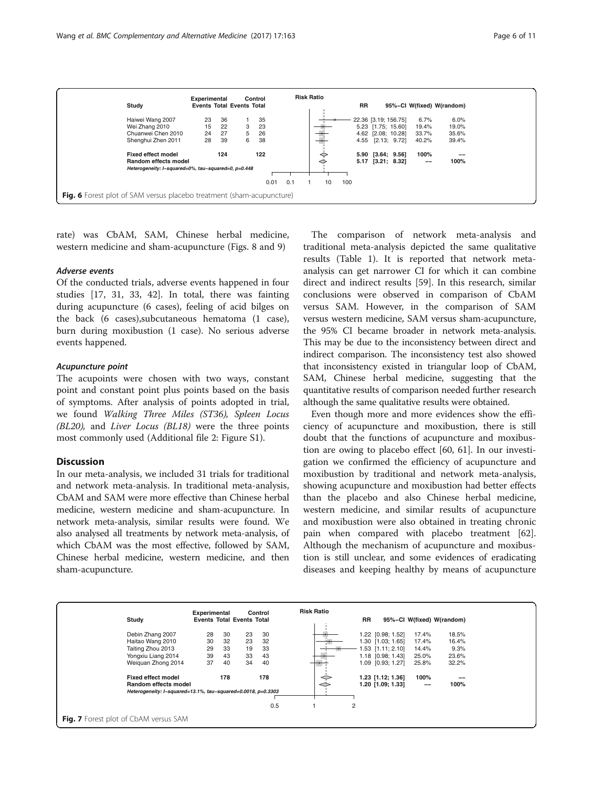<span id="page-5-0"></span>

rate) was CbAM, SAM, Chinese herbal medicine, western medicine and sham-acupuncture (Figs. [8](#page-7-0) and [9\)](#page-7-0)

#### Adverse events

Of the conducted trials, adverse events happened in four studies [\[17](#page-9-0), [31](#page-9-0), [33](#page-9-0), [42](#page-9-0)]. In total, there was fainting during acupuncture (6 cases), feeling of acid bilges on the back (6 cases),subcutaneous hematoma (1 case), burn during moxibustion (1 case). No serious adverse events happened.

#### Acupuncture point

The acupoints were chosen with two ways, constant point and constant point plus points based on the basis of symptoms. After analysis of points adopted in trial, we found Walking Three Miles (ST36), Spleen Locus (BL20), and Liver Locus (BL18) were the three points most commonly used (Additional file [2](#page-8-0): Figure S1).

## **Discussion**

In our meta-analysis, we included 31 trials for traditional and network meta-analysis. In traditional meta-analysis, CbAM and SAM were more effective than Chinese herbal medicine, western medicine and sham-acupuncture. In network meta-analysis, similar results were found. We also analysed all treatments by network meta-analysis, of which CbAM was the most effective, followed by SAM, Chinese herbal medicine, western medicine, and then sham-acupuncture.

The comparison of network meta-analysis and traditional meta-analysis depicted the same qualitative results (Table [1](#page-6-0)). It is reported that network metaanalysis can get narrower CI for which it can combine direct and indirect results [\[59](#page-9-0)]. In this research, similar conclusions were observed in comparison of CbAM versus SAM. However, in the comparison of SAM versus western medicine, SAM versus sham-acupuncture, the 95% CI became broader in network meta-analysis. This may be due to the inconsistency between direct and indirect comparison. The inconsistency test also showed that inconsistency existed in triangular loop of CbAM, SAM, Chinese herbal medicine, suggesting that the quantitative results of comparison needed further research although the same qualitative results were obtained.

Even though more and more evidences show the efficiency of acupuncture and moxibustion, there is still doubt that the functions of acupuncture and moxibustion are owing to placebo effect [\[60](#page-10-0), [61\]](#page-10-0). In our investigation we confirmed the efficiency of acupuncture and moxibustion by traditional and network meta-analysis, showing acupuncture and moxibustion had better effects than the placebo and also Chinese herbal medicine, western medicine, and similar results of acupuncture and moxibustion were also obtained in treating chronic pain when compared with placebo treatment [\[62](#page-10-0)]. Although the mechanism of acupuncture and moxibustion is still unclear, and some evidences of eradicating diseases and keeping healthy by means of acupuncture

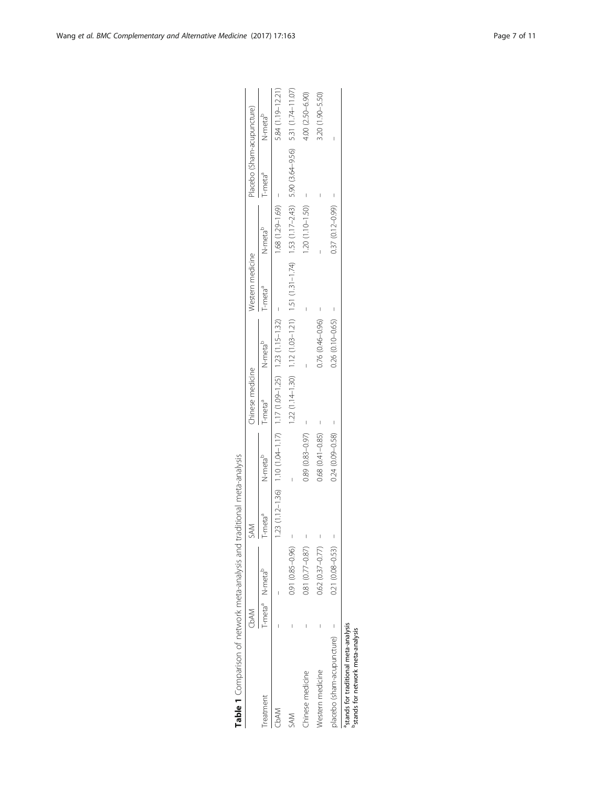|                                                                                                    | CbAM |                                         |                     |                        | Chinese medicine                                                  |                                                                                                       | Western medicine    |                     | Placebo (Sham-acupuncture) |                     |
|----------------------------------------------------------------------------------------------------|------|-----------------------------------------|---------------------|------------------------|-------------------------------------------------------------------|-------------------------------------------------------------------------------------------------------|---------------------|---------------------|----------------------------|---------------------|
| Treatment                                                                                          |      | T-meta <sup>a</sup> N-meta <sup>b</sup> | T-meta <sup>a</sup> | N-meta <sup>b</sup>    | T-meta <sup>a</sup> N-meta <sup>b</sup>                           |                                                                                                       | T-meta <sup>a</sup> | N-meta <sup>b</sup> | T-meta <sup>a</sup>        | N-meta <sup>b</sup> |
| CBAM                                                                                               |      |                                         |                     |                        | 23 (1.12-1.36) 1.10 (1.04-1.17) 1.17 (1.09-1.25) 1.23 (1.15-1.32) |                                                                                                       |                     | 1.68 (1.29-1.69)    |                            | 5.84 (1.19-12.21)   |
| SAM                                                                                                |      | $0.91(0.85 - 0.96)$                     |                     |                        |                                                                   | 1.22 (1.14-1.30) 1.2 (1.03-1.2 (1.51 (1.51 -1.74) 1.53 (1.17-2.43) 5.90 (3.64-9.56) 5.31 (1.74-11.07) |                     |                     |                            |                     |
| Thinese medicine                                                                                   |      | $0.81 (0.77 - 0.87)$                    |                     | $0.89$ $(0.83 - 0.97)$ |                                                                   |                                                                                                       |                     | $1.20(1.10 - 1.50)$ |                            | 4.00 (2.50-6.90)    |
| <b>Nestern</b> medicine                                                                            |      | $0.62$ $(0.37 - 0.77)$                  |                     | $0.68$ $(0.41 - 0.85)$ |                                                                   | $0.76(0.46 - 0.96)$                                                                                   |                     |                     |                            | 3.20 (1.90-5.50)    |
| placebo (sham-acupuncture)                                                                         |      | 0.21 (0.08-0.53)                        |                     | $0.24(0.09 - 0.58)$    |                                                                   | 0.26 (0.10-0.65)                                                                                      |                     | $0.37(0.12 - 0.99)$ |                            |                     |
| <sup>a</sup> stands for traditional meta-analysis<br><sup>b</sup> stands for network meta-analysis |      |                                         |                     |                        |                                                                   |                                                                                                       |                     |                     |                            |                     |

Table 1 Comparison of network meta-analysis and traditional meta-analysis Table 1 Comparison of network meta-analysis and traditional meta-analysis

<span id="page-6-0"></span>Wang et al. BMC Complementary and Alternative Medicine (2017) 17:163 Page 7 of 11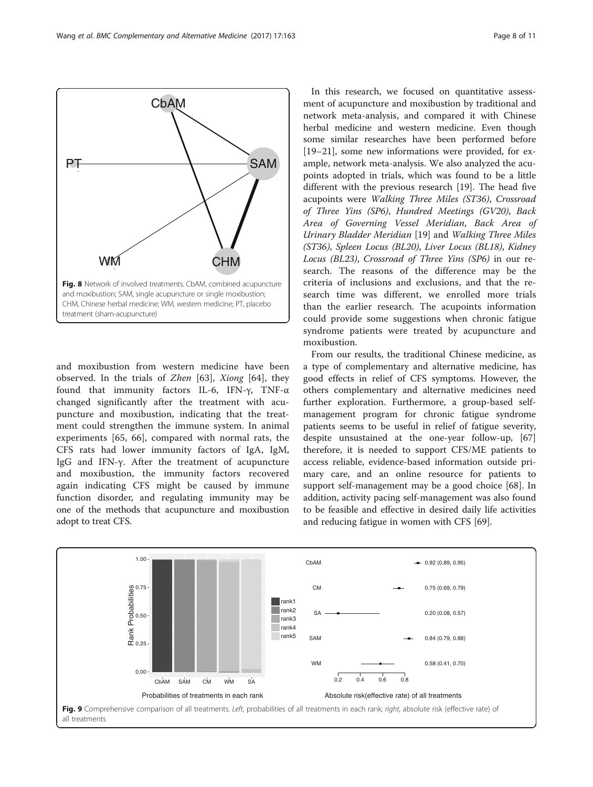and moxibustion from western medicine have been observed. In the trials of Zhen [[63\]](#page-10-0), Xiong [[64\]](#page-10-0), they found that immunity factors IL-6, IFN-γ, TNF-α changed significantly after the treatment with acupuncture and moxibustion, indicating that the treatment could strengthen the immune system. In animal experiments [[65, 66](#page-10-0)], compared with normal rats, the CFS rats had lower immunity factors of IgA, IgM, IgG and IFN-γ. After the treatment of acupuncture and moxibustion, the immunity factors recovered again indicating CFS might be caused by immune function disorder, and regulating immunity may be one of the methods that acupuncture and moxibustion adopt to treat CFS.

In this research, we focused on quantitative assessment of acupuncture and moxibustion by traditional and network meta-analysis, and compared it with Chinese herbal medicine and western medicine. Even though some similar researches have been performed before [[19](#page-9-0)–[21](#page-9-0)], some new informations were provided, for example, network meta-analysis. We also analyzed the acupoints adopted in trials, which was found to be a little different with the previous research [[19\]](#page-9-0). The head five acupoints were Walking Three Miles (ST36), Crossroad of Three Yins (SP6), Hundred Meetings (GV20), Back Area of Governing Vessel Meridian, Back Area of Urinary Bladder Meridian [[19\]](#page-9-0) and Walking Three Miles (ST36), Spleen Locus (BL20), Liver Locus (BL18), Kidney Locus (BL23), Crossroad of Three Yins (SP6) in our research. The reasons of the difference may be the criteria of inclusions and exclusions, and that the research time was different, we enrolled more trials than the earlier research. The acupoints information could provide some suggestions when chronic fatigue syndrome patients were treated by acupuncture and moxibustion.

From our results, the traditional Chinese medicine, as a type of complementary and alternative medicine, has good effects in relief of CFS symptoms. However, the others complementary and alternative medicines need further exploration. Furthermore, a group-based selfmanagement program for chronic fatigue syndrome patients seems to be useful in relief of fatigue severity, despite unsustained at the one-year follow-up, [[67](#page-10-0)] therefore, it is needed to support CFS/ME patients to access reliable, evidence-based information outside primary care, and an online resource for patients to support self-management may be a good choice [\[68](#page-10-0)]. In addition, activity pacing self-management was also found to be feasible and effective in desired daily life activities and reducing fatigue in women with CFS [\[69](#page-10-0)].





PT

treatment (sham-acupuncture)

<span id="page-7-0"></span>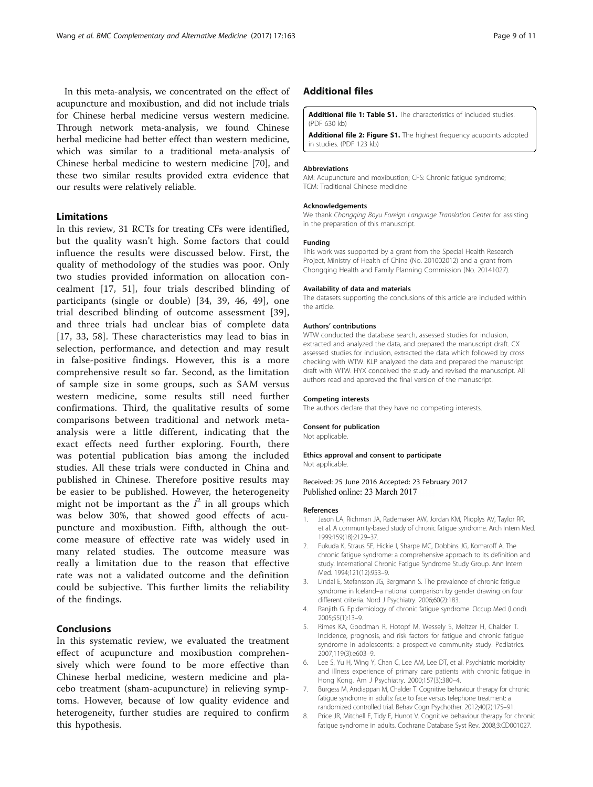<span id="page-8-0"></span>In this meta-analysis, we concentrated on the effect of acupuncture and moxibustion, and did not include trials for Chinese herbal medicine versus western medicine. Through network meta-analysis, we found Chinese herbal medicine had better effect than western medicine, which was similar to a traditional meta-analysis of Chinese herbal medicine to western medicine [\[70](#page-10-0)], and these two similar results provided extra evidence that our results were relatively reliable.

#### Limitations

In this review, 31 RCTs for treating CFs were identified, but the quality wasn't high. Some factors that could influence the results were discussed below. First, the quality of methodology of the studies was poor. Only two studies provided information on allocation concealment [\[17](#page-9-0), [51\]](#page-9-0), four trials described blinding of participants (single or double) [\[34, 39](#page-9-0), [46](#page-9-0), [49](#page-9-0)], one trial described blinding of outcome assessment [[39](#page-9-0)], and three trials had unclear bias of complete data [[17](#page-9-0), [33, 58](#page-9-0)]. These characteristics may lead to bias in selection, performance, and detection and may result in false-positive findings. However, this is a more comprehensive result so far. Second, as the limitation of sample size in some groups, such as SAM versus western medicine, some results still need further confirmations. Third, the qualitative results of some comparisons between traditional and network metaanalysis were a little different, indicating that the exact effects need further exploring. Fourth, there was potential publication bias among the included studies. All these trials were conducted in China and published in Chinese. Therefore positive results may be easier to be published. However, the heterogeneity might not be important as the  $I^2$  in all groups which was below 30%, that showed good effects of acupuncture and moxibustion. Fifth, although the outcome measure of effective rate was widely used in many related studies. The outcome measure was really a limitation due to the reason that effective rate was not a validated outcome and the definition could be subjective. This further limits the reliability of the findings.

## Conclusions

In this systematic review, we evaluated the treatment effect of acupuncture and moxibustion comprehensively which were found to be more effective than Chinese herbal medicine, western medicine and placebo treatment (sham-acupuncture) in relieving symptoms. However, because of low quality evidence and heterogeneity, further studies are required to confirm this hypothesis.

## Additional files

[Additional file 1: Table S1.](dx.doi.org/10.1186/s12906-017-1647-x) The characteristics of included studies. (PDF 630 kb)

[Additional file 2: Figure S1.](dx.doi.org/10.1186/s12906-017-1647-x) The highest frequency acupoints adopted in studies. (PDF 123 kb)

#### Abbreviations

AM: Acupuncture and moxibustion; CFS: Chronic fatigue syndrome; TCM: Traditional Chinese medicine

#### Acknowledgements

We thank Chongging Boyu Foreign Language Translation Center for assisting in the preparation of this manuscript.

#### Funding

This work was supported by a grant from the Special Health Research Project, Ministry of Health of China (No. 201002012) and a grant from Chongqing Health and Family Planning Commission (No. 20141027).

#### Availability of data and materials

The datasets supporting the conclusions of this article are included within the article.

#### Authors' contributions

WTW conducted the database search, assessed studies for inclusion, extracted and analyzed the data, and prepared the manuscript draft. CX assessed studies for inclusion, extracted the data which followed by cross checking with WTW. KLP analyzed the data and prepared the manuscript draft with WTW. HYX conceived the study and revised the manuscript. All authors read and approved the final version of the manuscript.

#### Competing interests

The authors declare that they have no competing interests.

#### Consent for publication

Not applicable.

#### Ethics approval and consent to participate

Not applicable.

Received: 25 June 2016 Accepted: 23 February 2017 Published online: 23 March 2017

#### References

- 1. Jason LA, Richman JA, Rademaker AW, Jordan KM, Plioplys AV, Taylor RR, et al. A community-based study of chronic fatigue syndrome. Arch Intern Med. 1999;159(18):2129–37.
- 2. Fukuda K, Straus SE, Hickie I, Sharpe MC, Dobbins JG, Komaroff A. The chronic fatigue syndrome: a comprehensive approach to its definition and study. International Chronic Fatigue Syndrome Study Group. Ann Intern Med. 1994;121(12):953–9.
- 3. Lindal E, Stefansson JG, Bergmann S. The prevalence of chronic fatigue syndrome in Iceland–a national comparison by gender drawing on four different criteria. Nord J Psychiatry. 2006;60(2):183.
- 4. Ranjith G. Epidemiology of chronic fatigue syndrome. Occup Med (Lond). 2005;55(1):13–9.
- 5. Rimes KA, Goodman R, Hotopf M, Wessely S, Meltzer H, Chalder T. Incidence, prognosis, and risk factors for fatigue and chronic fatigue syndrome in adolescents: a prospective community study. Pediatrics. 2007;119(3):e603–9.
- 6. Lee S, Yu H, Wing Y, Chan C, Lee AM, Lee DT, et al. Psychiatric morbidity and illness experience of primary care patients with chronic fatigue in Hong Kong. Am J Psychiatry. 2000;157(3):380–4.
- 7. Burgess M, Andiappan M, Chalder T. Cognitive behaviour therapy for chronic fatigue syndrome in adults: face to face versus telephone treatment: a randomized controlled trial. Behav Cogn Psychother. 2012;40(2):175–91.
- 8. Price JR, Mitchell E, Tidy E, Hunot V. Cognitive behaviour therapy for chronic fatigue syndrome in adults. Cochrane Database Syst Rev. 2008;3:CD001027.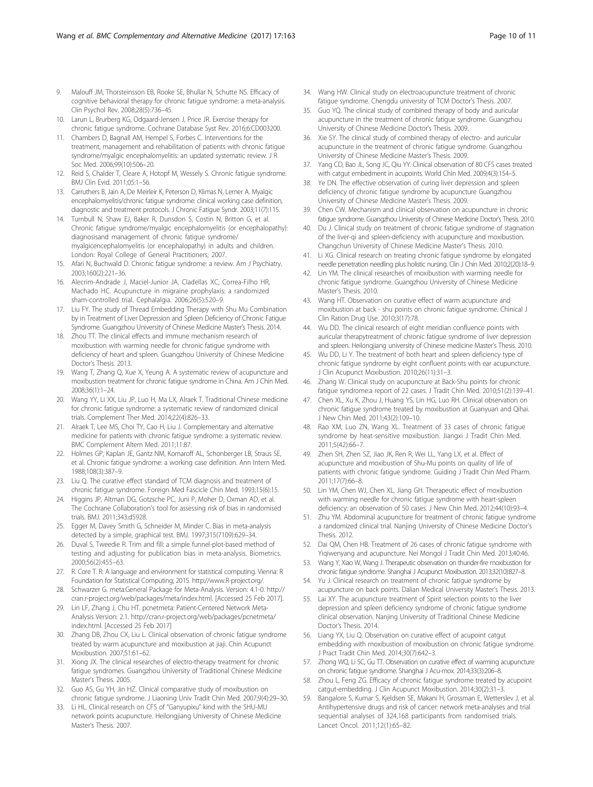- <span id="page-9-0"></span>9. Malouff JM, Thorsteinsson EB, Rooke SE, Bhullar N, Schutte NS. Efficacy of cognitive behavioral therapy for chronic fatigue syndrome: a meta-analysis. Clin Psychol Rev. 2008;28(5):736–45.
- 10. Larun L, Brurberg KG, Odgaard-Jensen J, Price JR. Exercise therapy for chronic fatigue syndrome. Cochrane Database Syst Rev. 2016;6:CD003200.
- 11. Chambers D, Bagnall AM, Hempel S, Forbes C. Interventions for the treatment, management and rehabilitation of patients with chronic fatigue syndrome/myalgic encephalomyelitis: an updated systematic review. J R Soc Med. 2006;99(10):506–20.
- 12. Reid S, Chalder T, Cleare A, Hotopf M, Wessely S. Chronic fatigue syndrome. BMJ Clin Evid. 2011;05:1–56.
- 13. Carruthers B, Jain A, De Meirleir K, Peterson D, Klimas N, Lerner A. Myalgic encephalomyelitis/chronic fatigue syndrome: clinical working case definition, diagnostic and treatment protocols. J Chronic Fatigue Syndr. 2003;11(7):115.
- 14. Turnbull N, Shaw EJ, Baker R, Dunsdon S, Costin N, Britton G, et al. Chronic fatigue syndrome/myalgic encephalomyelitis (or encephalopathy): diagnosisand management of chronic fatigue syndrome/ myalgicencephalomyelitis (or encephalopathy) in adults and children. London: Royal College of General Practitioners; 2007.
- 15. Afari N, Buchwald D. Chronic fatigue syndrome: a review. Am J Psychiatry. 2003;160(2):221–36.
- 16. Alecrim-Andrade J, Maciel-Junior JA, Cladellas XC, Correa-Filho HR, Machado HC. Acupuncture in migraine prophylaxis: a randomized sham-controlled trial. Cephalalgia. 2006;26(5):520–9.
- 17. Liu FY. The study of Thread Embedding Therapy with Shu Mu Combination by in Treatment of Liver Depression and Spleen Deficiency of Chronic Fatigue Syndrome. Guangzhou University of Chinese Medicine Master's Thesis. 2014.
- 18. Zhou TT. The clinical effects and immune mechanism research of moxibustion with warming needle for chronic fatigue syndrome with deficiency of heart and spleen. Guangzhou University of Chinese Medicine Doctor's Thesis. 2013.
- 19. Wang T, Zhang Q, Xue X, Yeung A. A systematic review of acupuncture and moxibustion treatment for chronic fatigue syndrome in China. Am J Chin Med. 2008;36(1):1–24.
- 20. Wang YY, Li XX, Liu JP, Luo H, Ma LX, Alraek T. Traditional Chinese medicine for chronic fatigue syndrome: a systematic review of randomized clinical trials. Complement Ther Med. 2014;22(4):826–33.
- 21. Alraek T, Lee MS, Choi TY, Cao H, Liu J. Complementary and alternative medicine for patients with chronic fatigue syndrome: a systematic review. BMC Complement Altern Med. 2011;11:87.
- 22. Holmes GP, Kaplan JE, Gantz NM, Komaroff AL, Schonberger LB, Straus SE, et al. Chronic fatigue syndrome: a working case definition. Ann Intern Med. 1988;108(3):387–9.
- 23. Liu Q. The curative effect standard of TCM diagnosis and treatment of chronic fatigue syndrome. Foreign Med Fascicle Chin Med. 1993;15(6):15.
- 24. Higgins JP, Altman DG, Gotzsche PC, Juni P, Moher D, Oxman AD, et al. The Cochrane Collaboration's tool for assessing risk of bias in randomised trials. BMJ. 2011;343:d5928.
- 25. Egger M, Davey Smith G, Schneider M, Minder C. Bias in meta-analysis detected by a simple, graphical test. BMJ. 1997;315(7109):629–34.
- 26. Duval S, Tweedie R. Trim and fill: a simple funnel-plot-based method of testing and adjusting for publication bias in meta-analysis. Biometrics. 2000;56(2):455–63.
- 27. R. Core T. R: A language and environment for statistical computing. Vienna: R Foundation for Statistical Computing; 2015. [http://www.R-project.org/](http://www.r-project.org/).
- 28. Schwarzer G. meta:General Package for Meta-Analysis. Version: 4.1-0. [http://](http://cran.r-project.org/web/packages/meta/index.html) [cran.r-project.org/web/packages/meta/index.html.](http://cran.r-project.org/web/packages/meta/index.html) [Accessed 25 Feb 2017].
- 29. Lin LF, Zhang J, Chu HT. pcnetmeta: Patient-Centered Network Meta-Analysis Version: 2.1. [http://cran.r-project.org/web/packages/pcnetmeta/](http://cran.r-project.org/web/packages/pcnetmeta/index.html) [index.html.](http://cran.r-project.org/web/packages/pcnetmeta/index.html) [Accessed 25 Feb 2017]
- 30. Zhang DB, Zhou CX, Liu L. Clinical observation of chronic fatigue syndrome treated by warm acupuncture and moxibustion at jiaji. Chin Acupunct Moxibustion. 2007;S1:61–62.
- 31. Xiong JX. The clinical researches of electro-therapy treatment for chronic fatigue syndromes. Guangzhou University of Traditional Chinese Medicine Master's Thesis. 2005.
- 32. Guo AS, Gu YH, Jin HZ. Clinical comparative study of moxibustion on chronic fatigue syndrome. J Liaoning Univ Tradit Chin Med. 2007;9(4):29–30.
- 33. Li HL. Clinical research on CFS of "Ganyupixu" kind with the SHU-MU network points acupuncture. Heilongjiang University of Chinese Medicine Master's Thesis. 2007.
- 34. Wang HW. Clinical study on electroacupuncture treatment of chronic fatigue syndrome. Chengdu university of TCM Doctor's Thesis. 2007.
- 35. Guo YQ. The clinical study of combined therapy of body and auricular acupuncture in the treatment of chronic fatigue syndrome. Guangzhou University of Chinese Medicine Doctor's Thesis. 2009.
- 36. Xie SY. The clinical study of combined therapy of electro- and auricular acupuncture in the treatment of chronic fatigue syndrome. Guangzhou University of Chinese Medicine Master's Thesis. 2009.
- 37. Yang CD, Bao JL, Song JC, Qiu YY. Clinical observation of 80 CFS cases treated with catgut embedment in acupoints. World Chin Med. 2009;4(3):154–5.
- Ye DN. The effective observation of curing liver depression and spleen deficiency of chronic fatigue syndrome by acupuncture Guangzhou University of Chinese Medicine Master's Thesis. 2009.
- 39. Chen CW. Mechanism and clinical observation on acupuncture in chronic fatigue syndrome. Guangzhou University of Chinese Medicine Doctor's Thesis. 2010.
- 40. Du J. Clinical study on treatment of chronic fatigue syndrome of stagnation of the liver-qi and spleen-deficiency with acupuncture and moxibustion. Changchun University of Chinese Medicine Master's Thesis. 2010.
- 41. Li XG. Clinical research on treating chronic fatigue syndrome by elongated needle penetration needling plus holistic nursing. Clin J Chin Med. 2010;2(20):18–9.
- 42. Lin YM. The clinical researches of moxibustion with warming needle for chronic fatigue syndrome. Guangzhou University of Chinese Medicine Master's Thesis. 2010.
- 43. Wang HT. Observation on curative effect of warm acupuncture and moxibustion at back - shu points on chronic fatigue syndrome. Chinical J Clin Ration Drug Use. 2010;3(17):78.
- 44. Wu DD. The clinical research of eight meridian confluence points with auricular therapytreatment of chronic fatigue syndrome of liver depression and spleen. Heilongjiang university of Chinese medicine Master's Thesis. 2010.
- 45. Wu DD, Li Y. The treatment of both heart and spleen deficiency type of chronic fatigue syndrome by eight confluent points with ear acupuncture. J Clin Acupunct Moxibustion. 2010;26(11):31–3.
- 46. Zhang W. Clinical study on acupuncture at Back-Shu points for chronic fatigue syndrome:a report of 22 cases. J Tradit Chin Med. 2010;51(2):139–41.
- 47. Chen XL, Xu K, Zhou J, Huang YS, Lin HG, Luo RH. Clinical observation on chronic fatigue syndrome treated by moxibustion at Guanyuan and Qihai. J New Chin Med. 2011;43(2):109–10.
- 48. Rao XM, Luo ZN, Wang XL. Treatment of 33 cases of chronic fatigue syndrome by heat-sensitive moxibustion. Jiangxi J Tradit Chin Med. 2011;5(42):66–7.
- 49. Zhen SH, Zhen SZ, Jiao JK, Ren R, Wei LL, Yang LX, et al. Effect of acupuncture and moxibustion of Shu-Mu points on quality of life of patients with chronic fatigue syndrome. Guiding J Tradit Chin Med Pharm. 2011;17(7):66–8.
- 50. Lin YM, Chen WJ, Chen XL, Jiang GH. Therapeutic effect of moxibustion with warming needle for chronic fatigue syndrome with heart-spleen deficiency: an observation of 50 cases. J New Chin Med. 2012;44(10):93–4.
- 51. Zhu YM. Abdominal acupuncture for treatment of chronic fatigue syndrome a randomized clinical trial. Nanjing University of Chinese Medicine Doctor's Thesis. 2012.
- 52. Dai QM, Chen HB. Treatment of 26 cases of chronic fatigue syndrome with Yiqiwenyang and acupuncture. Nei Mongol J Tradit Chin Med. 2013;40:46.
- 53. Wang Y, Xiao W, Wang J. Therapeutic observation on thunder-fire moxibustion for chronic fatigue syndrome. Shanghai J Acupunct Moxibustion. 2013;32(10):827–8.
- 54. Yu J. Clinical research on treatment of chronic fatigue syndrome by acupuncture on back points. Dalian Medical University Master's Thesis. 2013.
- 55. Lai XY. The acupuncture treatment of Spirit selection points to the liver depression and spleen deficiency syndrome of chronic fatigue syndrome clinical observation. Nanjing University of Traditional Chinese Medicine Doctor's Thesis. 2014.
- 56. Liang YX, Liu Q. Observation on curative effect of acupoint catgut embedding with moxibustion of moxibustion on chronic fatigue syndrome. J Pract Tradit Chin Med. 2014;30(7):642–3.
- 57. Zhong WQ, Li SC, Gu TT. Observation on curative effect of warming acupuncture on chronic fatigue syndrome. Shanghai J Acu-mox. 2014;33(3):206–8.
- 58. Zhou L, Feng ZG. Efficacy of chronic fatigue syndrome treated by acupoint catgut-embedding. J Clin Acupunct Moxibustion. 2014;30(2):31–3.
- 59. Bangalore S, Kumar S, Kjeldsen SE, Makani H, Grossman E, Wetterslev J, et al. Antihypertensive drugs and risk of cancer: network meta-analyses and trial sequential analyses of 324,168 participants from randomised trials. Lancet Oncol. 2011;12(1):65–82.